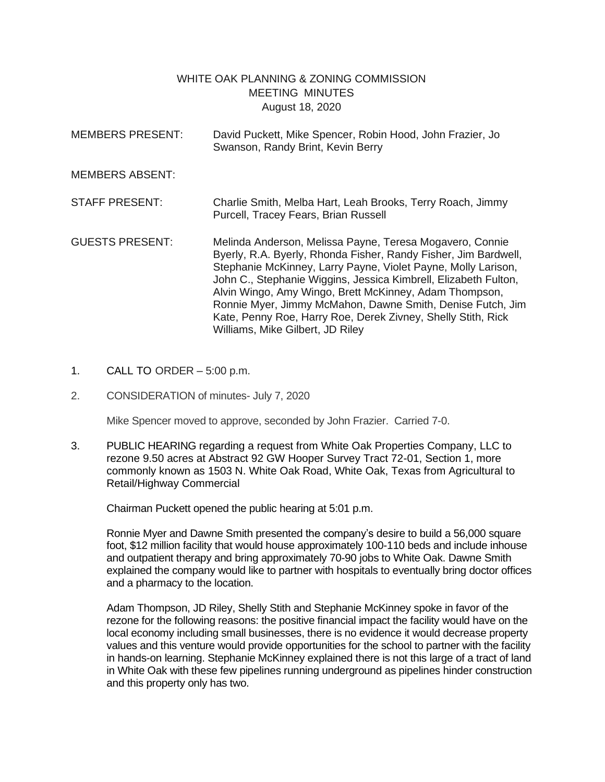## WHITE OAK PLANNING & ZONING COMMISSION MEETING MINUTES August 18, 2020

- MEMBERS PRESENT: David Puckett, Mike Spencer, Robin Hood, John Frazier, Jo Swanson, Randy Brint, Kevin Berry MEMBERS ABSENT: STAFF PRESENT: Charlie Smith, Melba Hart, Leah Brooks, Terry Roach, Jimmy Purcell, Tracey Fears, Brian Russell GUESTS PRESENT: Melinda Anderson, Melissa Payne, Teresa Mogavero, Connie Byerly, R.A. Byerly, Rhonda Fisher, Randy Fisher, Jim Bardwell, Stephanie McKinney, Larry Payne, Violet Payne, Molly Larison, John C., Stephanie Wiggins, Jessica Kimbrell, Elizabeth Fulton, Alvin Wingo, Amy Wingo, Brett McKinney, Adam Thompson, Ronnie Myer, Jimmy McMahon, Dawne Smith, Denise Futch, Jim Kate, Penny Roe, Harry Roe, Derek Zivney, Shelly Stith, Rick Williams, Mike Gilbert, JD Riley
- 1. CALL TO ORDER 5:00 p.m.
- 2. CONSIDERATION of minutes- July 7, 2020

Mike Spencer moved to approve, seconded by John Frazier. Carried 7-0.

3. PUBLIC HEARING regarding a request from White Oak Properties Company, LLC to rezone 9.50 acres at Abstract 92 GW Hooper Survey Tract 72-01, Section 1, more commonly known as 1503 N. White Oak Road, White Oak, Texas from Agricultural to Retail/Highway Commercial

Chairman Puckett opened the public hearing at 5:01 p.m.

Ronnie Myer and Dawne Smith presented the company's desire to build a 56,000 square foot, \$12 million facility that would house approximately 100-110 beds and include inhouse and outpatient therapy and bring approximately 70-90 jobs to White Oak. Dawne Smith explained the company would like to partner with hospitals to eventually bring doctor offices and a pharmacy to the location.

Adam Thompson, JD Riley, Shelly Stith and Stephanie McKinney spoke in favor of the rezone for the following reasons: the positive financial impact the facility would have on the local economy including small businesses, there is no evidence it would decrease property values and this venture would provide opportunities for the school to partner with the facility in hands-on learning. Stephanie McKinney explained there is not this large of a tract of land in White Oak with these few pipelines running underground as pipelines hinder construction and this property only has two.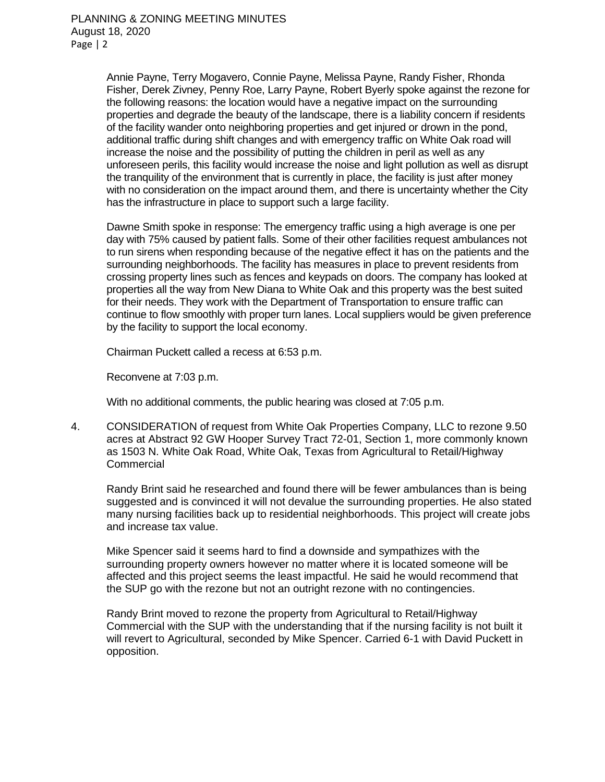Annie Payne, Terry Mogavero, Connie Payne, Melissa Payne, Randy Fisher, Rhonda Fisher, Derek Zivney, Penny Roe, Larry Payne, Robert Byerly spoke against the rezone for the following reasons: the location would have a negative impact on the surrounding properties and degrade the beauty of the landscape, there is a liability concern if residents of the facility wander onto neighboring properties and get injured or drown in the pond, additional traffic during shift changes and with emergency traffic on White Oak road will increase the noise and the possibility of putting the children in peril as well as any unforeseen perils, this facility would increase the noise and light pollution as well as disrupt the tranquility of the environment that is currently in place, the facility is just after money with no consideration on the impact around them, and there is uncertainty whether the City has the infrastructure in place to support such a large facility.

Dawne Smith spoke in response: The emergency traffic using a high average is one per day with 75% caused by patient falls. Some of their other facilities request ambulances not to run sirens when responding because of the negative effect it has on the patients and the surrounding neighborhoods. The facility has measures in place to prevent residents from crossing property lines such as fences and keypads on doors. The company has looked at properties all the way from New Diana to White Oak and this property was the best suited for their needs. They work with the Department of Transportation to ensure traffic can continue to flow smoothly with proper turn lanes. Local suppliers would be given preference by the facility to support the local economy.

Chairman Puckett called a recess at 6:53 p.m.

Reconvene at 7:03 p.m.

With no additional comments, the public hearing was closed at 7:05 p.m.

4. CONSIDERATION of request from White Oak Properties Company, LLC to rezone 9.50 acres at Abstract 92 GW Hooper Survey Tract 72-01, Section 1, more commonly known as 1503 N. White Oak Road, White Oak, Texas from Agricultural to Retail/Highway **Commercial** 

Randy Brint said he researched and found there will be fewer ambulances than is being suggested and is convinced it will not devalue the surrounding properties. He also stated many nursing facilities back up to residential neighborhoods. This project will create jobs and increase tax value.

Mike Spencer said it seems hard to find a downside and sympathizes with the surrounding property owners however no matter where it is located someone will be affected and this project seems the least impactful. He said he would recommend that the SUP go with the rezone but not an outright rezone with no contingencies.

Randy Brint moved to rezone the property from Agricultural to Retail/Highway Commercial with the SUP with the understanding that if the nursing facility is not built it will revert to Agricultural, seconded by Mike Spencer. Carried 6-1 with David Puckett in opposition.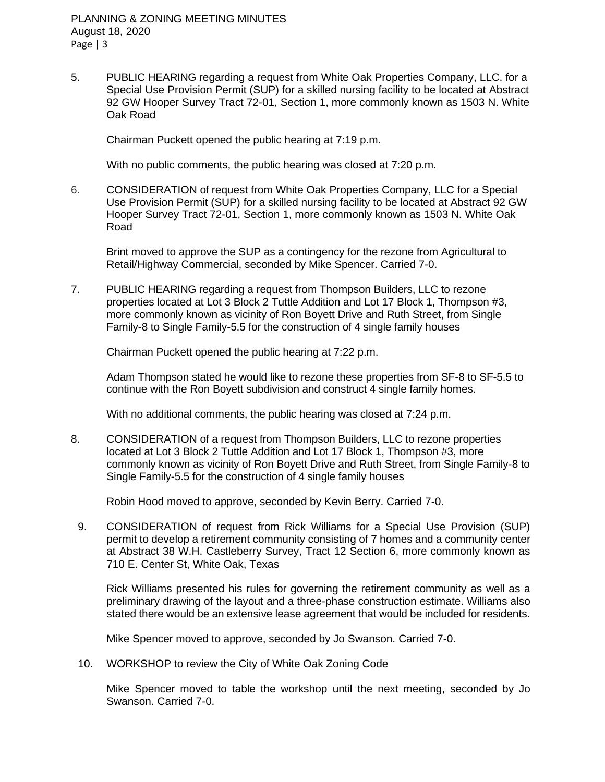PLANNING & ZONING MEETING MINUTES August 18, 2020 Page | 3

5. PUBLIC HEARING regarding a request from White Oak Properties Company, LLC. for a Special Use Provision Permit (SUP) for a skilled nursing facility to be located at Abstract 92 GW Hooper Survey Tract 72-01, Section 1, more commonly known as 1503 N. White Oak Road

Chairman Puckett opened the public hearing at 7:19 p.m.

With no public comments, the public hearing was closed at 7:20 p.m.

6. CONSIDERATION of request from White Oak Properties Company, LLC for a Special Use Provision Permit (SUP) for a skilled nursing facility to be located at Abstract 92 GW Hooper Survey Tract 72-01, Section 1, more commonly known as 1503 N. White Oak Road

Brint moved to approve the SUP as a contingency for the rezone from Agricultural to Retail/Highway Commercial, seconded by Mike Spencer. Carried 7-0.

7. PUBLIC HEARING regarding a request from Thompson Builders, LLC to rezone properties located at Lot 3 Block 2 Tuttle Addition and Lot 17 Block 1, Thompson #3, more commonly known as vicinity of Ron Boyett Drive and Ruth Street, from Single Family-8 to Single Family-5.5 for the construction of 4 single family houses

Chairman Puckett opened the public hearing at 7:22 p.m.

Adam Thompson stated he would like to rezone these properties from SF-8 to SF-5.5 to continue with the Ron Boyett subdivision and construct 4 single family homes.

With no additional comments, the public hearing was closed at 7:24 p.m.

8. CONSIDERATION of a request from Thompson Builders, LLC to rezone properties located at Lot 3 Block 2 Tuttle Addition and Lot 17 Block 1, Thompson #3, more commonly known as vicinity of Ron Boyett Drive and Ruth Street, from Single Family-8 to Single Family-5.5 for the construction of 4 single family houses

Robin Hood moved to approve, seconded by Kevin Berry. Carried 7-0.

9. CONSIDERATION of request from Rick Williams for a Special Use Provision (SUP) permit to develop a retirement community consisting of 7 homes and a community center at Abstract 38 W.H. Castleberry Survey, Tract 12 Section 6, more commonly known as 710 E. Center St, White Oak, Texas

Rick Williams presented his rules for governing the retirement community as well as a preliminary drawing of the layout and a three-phase construction estimate. Williams also stated there would be an extensive lease agreement that would be included for residents.

Mike Spencer moved to approve, seconded by Jo Swanson. Carried 7-0.

10. WORKSHOP to review the City of White Oak Zoning Code

Mike Spencer moved to table the workshop until the next meeting, seconded by Jo Swanson. Carried 7-0.